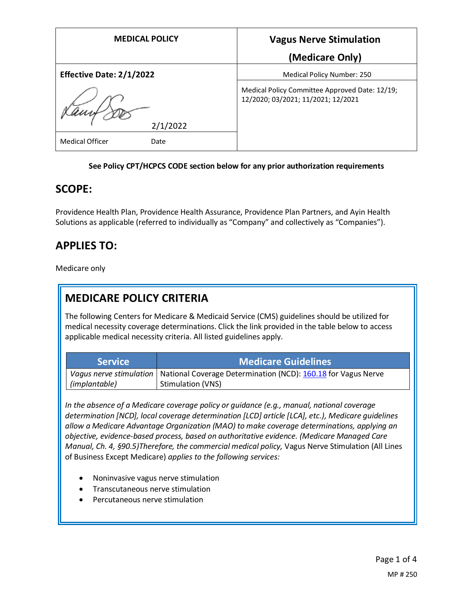| <b>MEDICAL POLICY</b>           | <b>Vagus Nerve Stimulation</b>                                                       |
|---------------------------------|--------------------------------------------------------------------------------------|
|                                 | (Medicare Only)                                                                      |
| <b>Effective Date: 2/1/2022</b> | Medical Policy Number: 250                                                           |
|                                 | Medical Policy Committee Approved Date: 12/19;<br>12/2020; 03/2021; 11/2021; 12/2021 |
| 2/1/2022                        |                                                                                      |
| Medical Officer<br>Date         |                                                                                      |

### **See Policy CPT/HCPCS CODE section below for any prior authorization requirements**

### **SCOPE:**

Providence Health Plan, Providence Health Assurance, Providence Plan Partners, and Ayin Health Solutions as applicable (referred to individually as "Company" and collectively as "Companies").

# **APPLIES TO:**

Medicare only

# **MEDICARE POLICY CRITERIA**

The following Centers for Medicare & Medicaid Service (CMS) guidelines should be utilized for medical necessity coverage determinations. Click the link provided in the table below to access applicable medical necessity criteria. All listed guidelines apply.

| <b>Service</b> | <b>Medicare Guidelines</b>                                                              |
|----------------|-----------------------------------------------------------------------------------------|
|                | Vagus nerve stimulation   National Coverage Determination (NCD): 160.18 for Vagus Nerve |
| (implantable)  | <sup>1</sup> Stimulation (VNS)                                                          |

*In the absence of a Medicare coverage policy or guidance (e.g., manual, national coverage determination [NCD], local coverage determination [LCD] article [LCA], etc.), Medicare guidelines allow a Medicare Advantage Organization (MAO) to make coverage determinations, applying an objective, evidence-based process, based on authoritative evidence. (Medicare Managed Care Manual, Ch. 4, §90.5)Therefore, the commercial medical policy,* Vagus Nerve Stimulation (All Lines of Business Except Medicare) *applies to the following services:*

- Noninvasive vagus nerve stimulation
- Transcutaneous nerve stimulation
- Percutaneous nerve stimulation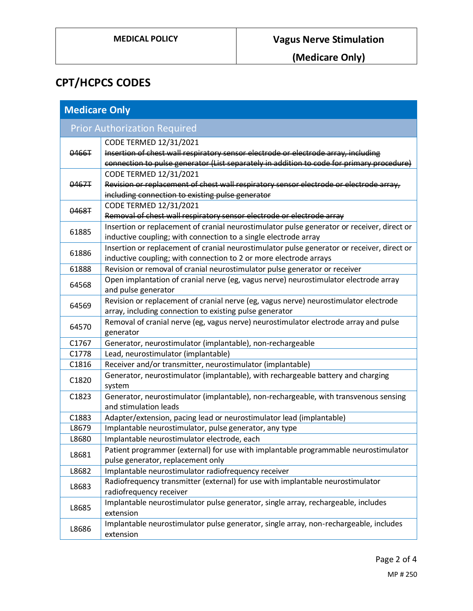**(Medicare Only)**

# **CPT/HCPCS CODES**

| <b>Medicare Only</b>                |                                                                                                                                                 |  |
|-------------------------------------|-------------------------------------------------------------------------------------------------------------------------------------------------|--|
| <b>Prior Authorization Required</b> |                                                                                                                                                 |  |
| 0466T                               | CODE TERMED 12/31/2021                                                                                                                          |  |
|                                     | Insertion of chest wall respiratory sensor electrode or electrode array, including                                                              |  |
|                                     | connection to pulse generator (List separately in addition to code for primary procedure)                                                       |  |
|                                     | CODE TERMED 12/31/2021                                                                                                                          |  |
| 0467T                               | Revision or replacement of chest wall respiratory sensor electrode or electrode array,                                                          |  |
|                                     | including connection to existing pulse generator                                                                                                |  |
| 0468T                               | CODE TERMED 12/31/2021                                                                                                                          |  |
|                                     | Removal of chest wall respiratory sensor electrode or electrode array                                                                           |  |
| 61885                               | Insertion or replacement of cranial neurostimulator pulse generator or receiver, direct or                                                      |  |
|                                     | inductive coupling; with connection to a single electrode array                                                                                 |  |
| 61886                               | Insertion or replacement of cranial neurostimulator pulse generator or receiver, direct or                                                      |  |
|                                     | inductive coupling; with connection to 2 or more electrode arrays                                                                               |  |
| 61888                               | Revision or removal of cranial neurostimulator pulse generator or receiver                                                                      |  |
| 64568                               | Open implantation of cranial nerve (eg, vagus nerve) neurostimulator electrode array                                                            |  |
|                                     | and pulse generator                                                                                                                             |  |
| 64569                               | Revision or replacement of cranial nerve (eg, vagus nerve) neurostimulator electrode<br>array, including connection to existing pulse generator |  |
|                                     | Removal of cranial nerve (eg, vagus nerve) neurostimulator electrode array and pulse                                                            |  |
| 64570                               | generator                                                                                                                                       |  |
| C1767                               | Generator, neurostimulator (implantable), non-rechargeable                                                                                      |  |
| C1778                               | Lead, neurostimulator (implantable)                                                                                                             |  |
| C1816                               | Receiver and/or transmitter, neurostimulator (implantable)                                                                                      |  |
| C1820                               | Generator, neurostimulator (implantable), with rechargeable battery and charging<br>system                                                      |  |
| C1823                               | Generator, neurostimulator (implantable), non-rechargeable, with transvenous sensing                                                            |  |
|                                     | and stimulation leads                                                                                                                           |  |
| C1883<br>L8679                      | Adapter/extension, pacing lead or neurostimulator lead (implantable)                                                                            |  |
|                                     | Implantable neurostimulator, pulse generator, any type                                                                                          |  |
| L8680                               | Implantable neurostimulator electrode, each                                                                                                     |  |
| L8681                               | Patient programmer (external) for use with implantable programmable neurostimulator<br>pulse generator, replacement only                        |  |
| L8682                               | Implantable neurostimulator radiofrequency receiver                                                                                             |  |
| L8683                               | Radiofrequency transmitter (external) for use with implantable neurostimulator                                                                  |  |
|                                     | radiofrequency receiver                                                                                                                         |  |
| L8685                               | Implantable neurostimulator pulse generator, single array, rechargeable, includes                                                               |  |
|                                     | extension                                                                                                                                       |  |
| L8686                               | Implantable neurostimulator pulse generator, single array, non-rechargeable, includes                                                           |  |
|                                     | extension                                                                                                                                       |  |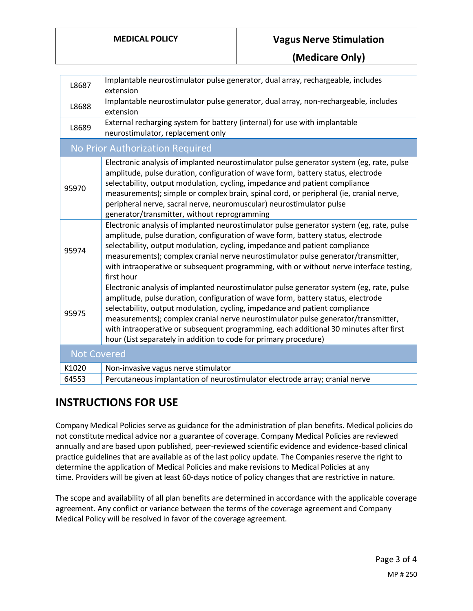### **MEDICAL POLICY Vagus Nerve Stimulation**

**(Medicare Only)**

| L8687                           | Implantable neurostimulator pulse generator, dual array, rechargeable, includes<br>extension                                                                                                                                                                                                                                                                                                                                                                                                                  |  |
|---------------------------------|---------------------------------------------------------------------------------------------------------------------------------------------------------------------------------------------------------------------------------------------------------------------------------------------------------------------------------------------------------------------------------------------------------------------------------------------------------------------------------------------------------------|--|
| L8688                           | Implantable neurostimulator pulse generator, dual array, non-rechargeable, includes<br>extension                                                                                                                                                                                                                                                                                                                                                                                                              |  |
| L8689                           | External recharging system for battery (internal) for use with implantable<br>neurostimulator, replacement only                                                                                                                                                                                                                                                                                                                                                                                               |  |
| No Prior Authorization Required |                                                                                                                                                                                                                                                                                                                                                                                                                                                                                                               |  |
| 95970                           | Electronic analysis of implanted neurostimulator pulse generator system (eg, rate, pulse<br>amplitude, pulse duration, configuration of wave form, battery status, electrode<br>selectability, output modulation, cycling, impedance and patient compliance<br>measurements); simple or complex brain, spinal cord, or peripheral (ie, cranial nerve,<br>peripheral nerve, sacral nerve, neuromuscular) neurostimulator pulse<br>generator/transmitter, without reprogramming                                 |  |
| 95974                           | Electronic analysis of implanted neurostimulator pulse generator system (eg, rate, pulse<br>amplitude, pulse duration, configuration of wave form, battery status, electrode<br>selectability, output modulation, cycling, impedance and patient compliance<br>measurements); complex cranial nerve neurostimulator pulse generator/transmitter,<br>with intraoperative or subsequent programming, with or without nerve interface testing,<br>first hour                                                     |  |
| 95975                           | Electronic analysis of implanted neurostimulator pulse generator system (eg, rate, pulse<br>amplitude, pulse duration, configuration of wave form, battery status, electrode<br>selectability, output modulation, cycling, impedance and patient compliance<br>measurements); complex cranial nerve neurostimulator pulse generator/transmitter,<br>with intraoperative or subsequent programming, each additional 30 minutes after first<br>hour (List separately in addition to code for primary procedure) |  |
| <b>Not Covered</b>              |                                                                                                                                                                                                                                                                                                                                                                                                                                                                                                               |  |
| K1020                           | Non-invasive vagus nerve stimulator                                                                                                                                                                                                                                                                                                                                                                                                                                                                           |  |
| 64553                           | Percutaneous implantation of neurostimulator electrode array; cranial nerve                                                                                                                                                                                                                                                                                                                                                                                                                                   |  |

### **INSTRUCTIONS FOR USE**

Company Medical Policies serve as guidance for the administration of plan benefits. Medical policies do not constitute medical advice nor a guarantee of coverage. Company Medical Policies are reviewed annually and are based upon published, peer-reviewed scientific evidence and evidence-based clinical practice guidelines that are available as of the last policy update. The Companies reserve the right to determine the application of Medical Policies and make revisions to Medical Policies at any time. Providers will be given at least 60-days notice of policy changes that are restrictive in nature.

The scope and availability of all plan benefits are determined in accordance with the applicable coverage agreement. Any conflict or variance between the terms of the coverage agreement and Company Medical Policy will be resolved in favor of the coverage agreement.